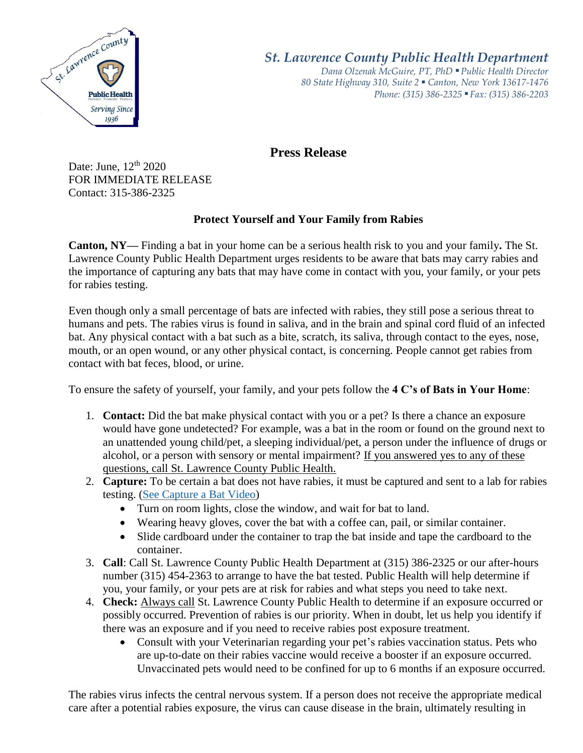

*St. Lawrence County Public Health Department*

*Dana Olzenak McGuire, PT, PhD ■ Public Health Director 80 State Highway 310, Suite 2 ■ Canton, New York 13617-1476 Phone: (315) 386-2325* ■ *Fax: (315) 386-2203*

**Press Release** 

Date: June,  $12<sup>th</sup> 2020$ FOR IMMEDIATE RELEASE Contact: 315-386-2325

## **Protect Yourself and Your Family from Rabies**

**Canton, NY—** Finding a bat in your home can be a serious health risk to you and your family**.** The St. Lawrence County Public Health Department urges residents to be aware that bats may carry rabies and the importance of capturing any bats that may have come in contact with you, your family, or your pets for rabies testing.

Even though only a small percentage of bats are infected with rabies, they still pose a serious threat to humans and pets. The rabies virus is found in saliva, and in the brain and spinal cord fluid of an infected bat. Any physical contact with a bat such as a bite, scratch, its saliva, through contact to the eyes, nose, mouth, or an open wound, or any other physical contact, is concerning. People cannot get rabies from contact with bat feces, blood, or urine.

To ensure the safety of yourself, your family, and your pets follow the **4 C's of Bats in Your Home**:

- 1. **Contact:** Did the bat make physical contact with you or a pet? Is there a chance an exposure would have gone undetected? For example, was a bat in the room or found on the ground next to an unattended young child/pet, a sleeping individual/pet, a person under the influence of drugs or alcohol, or a person with sensory or mental impairment? If you answered yes to any of these questions, call St. Lawrence County Public Health.
- 2. **Capture:** To be certain a bat does not have rabies, it must be captured and sent to a lab for rabies testing. [\(See Capture a Bat Video\)](https://www.youtube.com/watch?v=_YhnV5WJQBA)
	- Turn on room lights, close the window, and wait for bat to land.
	- Wearing heavy gloves, cover the bat with a coffee can, pail, or similar container.
	- Slide cardboard under the container to trap the bat inside and tape the cardboard to the container.
- 3. **Call**: Call St. Lawrence County Public Health Department at (315) 386-2325 or our after-hours number (315) 454-2363 to arrange to have the bat tested. Public Health will help determine if you, your family, or your pets are at risk for rabies and what steps you need to take next.
- 4. **Check:** Always call St. Lawrence County Public Health to determine if an exposure occurred or possibly occurred. Prevention of rabies is our priority. When in doubt, let us help you identify if there was an exposure and if you need to receive rabies post exposure treatment.
	- Consult with your Veterinarian regarding your pet's rabies vaccination status. Pets who are up-to-date on their rabies vaccine would receive a booster if an exposure occurred. Unvaccinated pets would need to be confined for up to 6 months if an exposure occurred.

The rabies virus infects the central nervous system. If a person does not receive the appropriate medical care after a potential rabies exposure, the virus can cause disease in the brain, ultimately resulting in